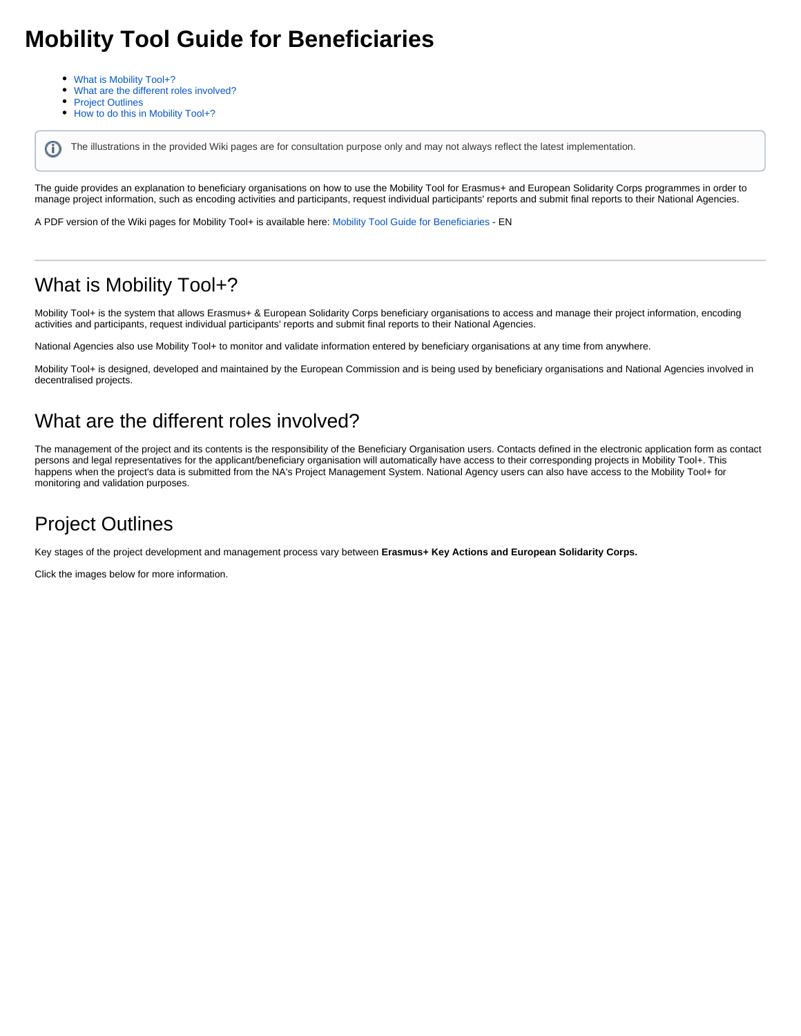# **Mobility Tool Guide for Beneficiaries**

- [What is Mobility Tool+?](#page-0-0)
- [What are the different roles involved?](#page-0-1)
- $\bullet$ [Project Outlines](#page-0-2)
- $\bullet$ [How to do this in Mobility Tool+?](#page-1-0)

ന The illustrations in the provided Wiki pages are for consultation purpose only and may not always reflect the latest implementation.

The guide provides an explanation to beneficiary organisations on how to use the Mobility Tool for Erasmus+ and European Solidarity Corps programmes in order to manage project information, such as encoding activities and participants, request individual participants' reports and submit final reports to their National Agencies.

A PDF version of the Wiki pages for Mobility Tool+ is available here: [Mobility Tool Guide for Beneficiaries](https://wikis.ec.europa.eu/download/attachments/36700484/Mobility_Tool_Guide_for_Beneficiaries_20210831.pdf?version=2&modificationDate=1634042232236&api=v2) - EN

### <span id="page-0-0"></span>What is Mobility Tool+?

Mobility Tool+ is the system that allows Erasmus+ & European Solidarity Corps beneficiary organisations to access and manage their project information, encoding activities and participants, request individual participants' reports and submit final reports to their National Agencies.

National Agencies also use Mobility Tool+ to monitor and validate information entered by beneficiary organisations at any time from anywhere.

Mobility Tool+ is designed, developed and maintained by the European Commission and is being used by beneficiary organisations and National Agencies involved in decentralised projects.

#### <span id="page-0-1"></span>What are the different roles involved?

The management of the project and its contents is the responsibility of the Beneficiary Organisation users. Contacts defined in the electronic application form as contact persons and legal representatives for the applicant/beneficiary organisation will automatically have access to their corresponding projects in Mobility Tool+. This happens when the project's data is submitted from the NA's Project Management System. National Agency users can also have access to the Mobility Tool+ for monitoring and validation purposes.

## <span id="page-0-2"></span>Project Outlines

Key stages of the project development and management process vary between **Erasmus+ Key Actions and European Solidarity Corps.**

Click the images below for more information.